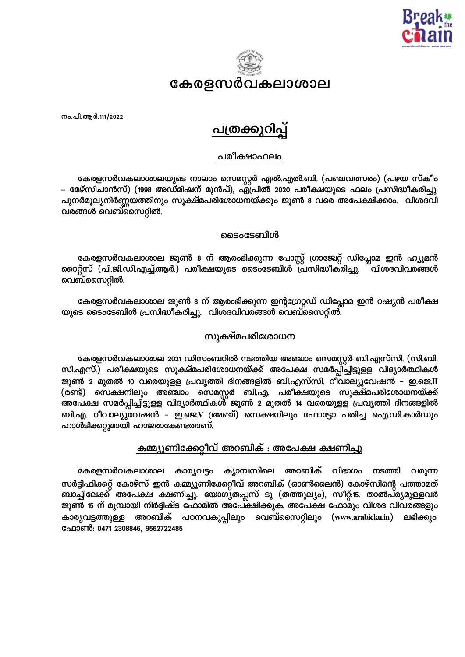



നം.പി.ആർ.111/2022

# **പത്രക്കുറി**പ്പ്

## പരീക്ഷാഫലം

കേരളസർവകലാശാലയുടെ നാലാം സെമസ്റ്റർ എൽ.എൽ.ബി. (പഞ്ചവത്സരം) (പഴയ സ്കീം – മേഴ്സിചാൻസ്) (1998 അഡ്മിഷന് മുൻപ്), ഏപ്രിൽ 2020 പരീക്ഷയുടെ ഫലം പ്രസിദ്ധീകരിച്ചു. പുനർമൂല്യനിർണ്ണയത്തിനും സൂക്ഷ്മപരിശോധനയ്ക്കും ജൂൺ 8 വരെ അപേക്ഷിക്കാം. വിശദവി വരങ്ങൾ വെബ്സൈറ്റിൽ.

#### ടൈംടേബിൾ

കേരളസർവകലാശാല ജൂൺ 8 ന് ആരംഭിക്കുന്ന പോസ്റ്റ് ഗ്രാജേറ്റ് ഡിപ്ലോമ ഇൻ ഹ്യൂമൻ റൈറ്റ്സ് (പി.ജി.ഡി.എച്ച്.ആർ.) പരീക്ഷയുടെ ടൈംടേബിൾ പ്രസിദ്ധീകരിച്ചു. ്വിശദവിവരങ്ങൾ വെബ്സൈറ്റിൽ.

കേരളസർവകലാശാല ജൂൺ 8 ന് ആരംഭിക്കുന്ന ഇന്റഗ്രേറ്റഡ് ഡിപ്ലോമ ഇൻ റഷ്യൻ പരീക്ഷ യുടെ ടൈംടേബിൾ പ്രസിദ്ധീകരിച്ചു. വിശദവിവരങ്ങൾ വെബ്സൈറ്റിൽ.

## സുക്ഷ്മപരിശോധന

കേരളസർവകലാശാല 2021 ഡിസംബറിൽ നടത്തിയ അഞ്ചാം സെമസ്റ്റർ ബി.എസ്സി. (സി.ബി. <u>സി.എസ്.) പരീക്ഷയുടെ സൂക്ഷ്മപരിശോധനയ്ക്ക് അപേക്ഷ സമർപ്പി്ച്ചിട്ടുളള വിദ്യാർത്ഥികൾ</u> ജൂൺ 2 മുതൽ 10 വരെയുളള പ്രവൃത്തി ദിനങ്ങളിൽ ബി.എസ്സി. റീവാല്യുവേഷൻ – ഇ.ജെ.II (രണ്ട്) സെക്ഷനിലും അഞ്ചാം സെമസ്റ്റർ ബി.എ. പരീക്ഷയുടെ സൂക്ഷ്മപരിശോധനയ്ക്ക് അപേക്ഷ സമർപ്പിച്ചിട്ടുളള വിദ്യാർത്ഥികശ് ജൂൺ 2 മുതൽ 14 വരെയുളള പ്രവൃത്തി ദിനങ്ങളിൽ ബി.എ. റീവാല്യുവേഷൻ – ഇ.ജെ.V (അഞ്ച്) സെക്ഷനിലും ഫോട്ടോ പതിച്ച ഐ.ഡി.കാർഡും ഹാൾടിക്കറ്റുമായി ഹാജരാകേണ്ടതാണ്.

## കമ്മ്യൂണിക്കേറ്റീവ് അറബിക് : അപേക്ഷ ക്ഷണിച്ചു

ക്യാമ്പസിലെ അറബിക് വിഭാഗം കേരളസർവകലാശാല കാര്യവട്ടം നടത്തി വരുന്ന സർട്ടിഫിക്കറ്റ് കോഴ്സ് ഇൻ കമ്മ്യൂണിക്കേറ്റീവ് അറബിക് (ഓൺലൈൻ) കോഴ്സിന്റെ പത്താമത് ബാച്ചിലേക്ക് അപേക്ഷ ക്ഷണിച്ചു. യോഗൃത:പ്ലസ് ടു (തത്തുല്യം), സീറ്റ്:15. താൽപ്ര്യമുള്ളവർ ജൂണ്റ് 15 ന് മുമ്പായി നിർദ്ദിഷ്ട ഫോമിൽ അപേ്ക്ഷിക്കുക. അപേക്ഷ ഫോമും വിശദ വിവരങ്ങളും കാര്യവട്ടത്തുള്ള അറബിക് പഠനവകുപ്പിലും വെബ്സൈറ്റിലും (www.arabicku.in) ലഭിക്കും ഫോൺ: 0471 2308846, 9562722485